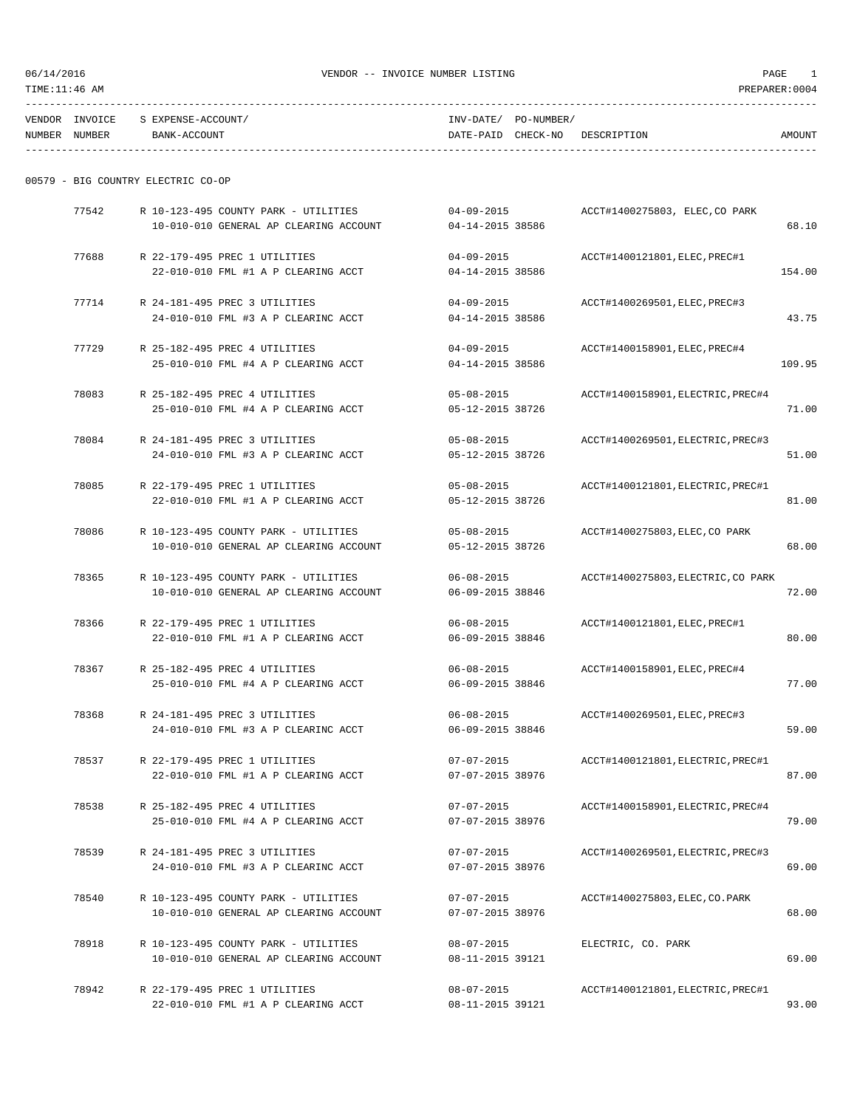TIME:11:46 AM PREPARER:0004

----------------------------------------------------------------------------------------------------------------------------------- VENDOR INVOICE S EXPENSE-ACCOUNT/ INV-DATE/ PO-NUMBER/ NUMBER NUMBER BANK-ACCOUNT DATE-PAID CHECK-NO DESCRIPTION AMOUNT -----------------------------------------------------------------------------------------------------------------------------------

22-010-010 FML #1 A P CLEARING ACCT 04-14-2015 38586 154.00

04-09-2015 ACCT#1400269501, ELEC, PREC#3

 $04-14-2015$  38586 43.75

|       | 00579 - BIG COUNTRY ELECTRIC CO-OP                                             |                                      |                                |       |
|-------|--------------------------------------------------------------------------------|--------------------------------------|--------------------------------|-------|
| 77542 | R 10-123-495 COUNTY PARK - UTILITIES<br>10-010-010 GENERAL AP CLEARING ACCOUNT | $04 - 09 - 2015$<br>04-14-2015 38586 | ACCT#1400275803, ELEC, CO PARK | 68.10 |
| 77688 | R 22-179-495 PREC 1 UTILITIES                                                  | $04 - 09 - 2015$                     | ACCT#1400121801, ELEC, PREC#1  |       |

| 77714 |                                     |  |  | R 24-181-495 PREC 3 UTILITIES |  |  |  |  |  |
|-------|-------------------------------------|--|--|-------------------------------|--|--|--|--|--|
|       | 24-010-010 FML #3 A P CLEARINC ACCT |  |  |                               |  |  |  |  |  |

- 77729 R 25-182-495 PREC 4 UTILITIES 04-09-2015 ACCT#1400158901,ELEC,PREC#4 25-010-010 FML #4 A P CLEARING ACCT 04-14-2015 38586 109.95
- 78083 R 25-182-495 PREC 4 UTILITIES 05-08-2015 ACCT#1400158901,ELECTRIC,PREC#4 25-010-010 FML #4 A P CLEARING ACCT 05-12-2015 38726 71.00
- 78084 R 24-181-495 PREC 3 UTILITIES 05-08-2015 ACCT#1400269501,ELECTRIC,PREC#3 24-010-010 FML #3 A P CLEARINC ACCT 05-12-2015 38726 51.00
- 78085 R 22-179-495 PREC 1 UTILITIES 05-08-2015 ACCT#1400121801,ELECTRIC,PREC#1 22-010-010 FML #1 A P CLEARING ACCT 05-12-2015 38726 81.00
- 78086 R 10-123-495 COUNTY PARK UTILITIES 05-08-2015 ACCT#1400275803,ELEC,CO PARK 10-010-010 GENERAL AP CLEARING ACCOUNT 05-12-2015 38726 68.00
- 78365 R 10-123-495 COUNTY PARK UTILITIES 06-08-2015 ACCT#1400275803,ELECTRIC,CO PARK 10-010-010 GENERAL AP CLEARING ACCOUNT 06-09-2015 38846 72.00
- 78366 R 22-179-495 PREC 1 UTILITIES 06-08-2015 ACCT#1400121801,ELEC,PREC#1 22-010-010 FML #1 A P CLEARING ACCT 06-09-2015 38846 80.00
- 78367 R 25-182-495 PREC 4 UTILITIES 06-08-2015 ACCT#1400158901,ELEC,PREC#4 25-010-010 FML #4 A P CLEARING ACCT 06-09-2015 38846 77.00
- 78368 R 24-181-495 PREC 3 UTILITIES 06-08-2015 ACCT#1400269501,ELEC,PREC#3 24-010-010 FML #3 A P CLEARINC ACCT 06-09-2015 38846 59.00
- 78537 R 22-179-495 PREC 1 UTILITIES 07-07-2015 ACCT#1400121801,ELECTRIC,PREC#1 22-010-010 FML #1 A P CLEARING ACCT 07-07-2015 38976 87.00
- 78538 R 25-182-495 PREC 4 UTILITIES 07-07-2015 ACCT#1400158901,ELECTRIC,PREC#4 25-010-010 FML #4 A P CLEARING ACCT 07-07-2015 38976 79.00
- 78539 R 24-181-495 PREC 3 UTILITIES 07-07-2015 ACCT#1400269501,ELECTRIC,PREC#3 24-010-010 FML #3 A P CLEARINC ACCT 07-07-2015 38976 69.00
- 78540 R 10-123-495 COUNTY PARK UTILITIES 07-07-2015 ACCT#1400275803,ELEC,CO.PARK 10-010-010 GENERAL AP CLEARING ACCOUNT 07-07-2015 38976 68.00
- 78918 R 10-123-495 COUNTY PARK UTILITIES 08-07-2015 ELECTRIC, CO. PARK 10-010-010 GENERAL AP CLEARING ACCOUNT 08-11-2015 39121 69.00
- 78942 R 22-179-495 PREC 1 UTILITIES 08-07-2015 ACCT#1400121801,ELECTRIC,PREC#1 22-010-010 FML #1 A P CLEARING ACCT 08-11-2015 39121 93.00

| ۰.<br>×<br>٠ |  |
|--------------|--|
|              |  |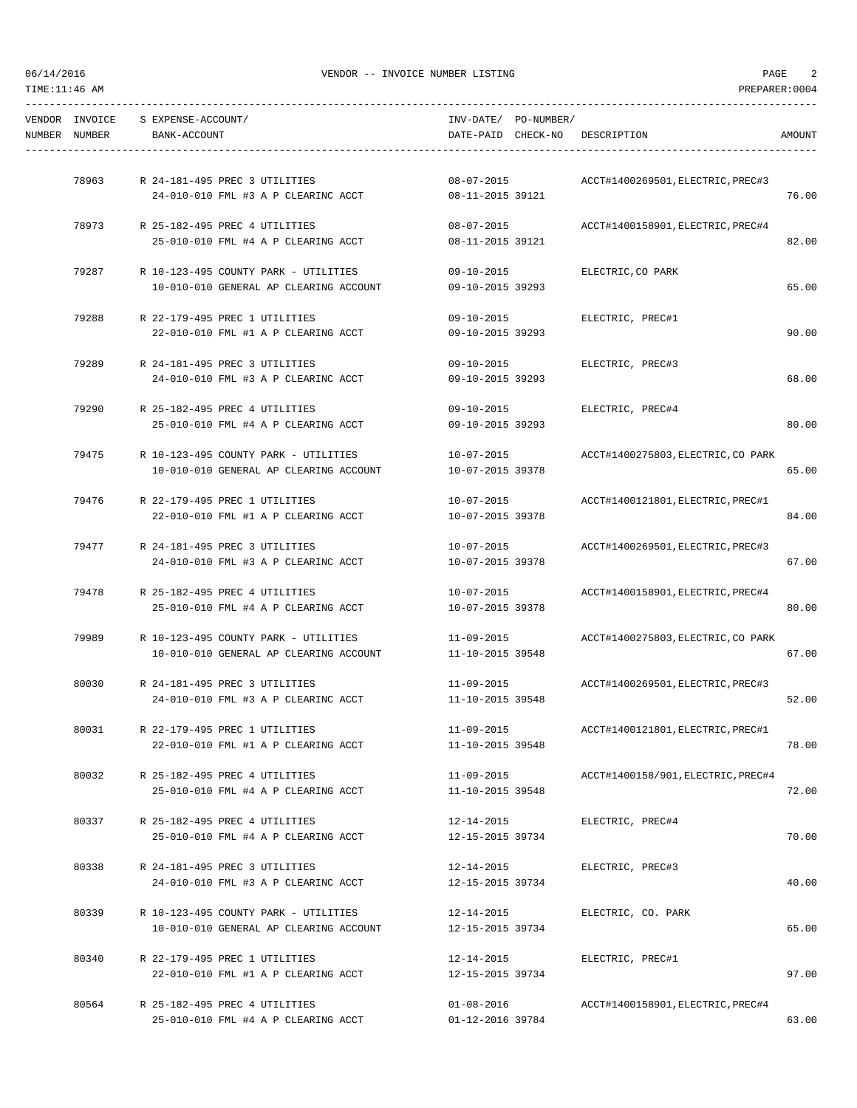TIME:11:46 AM PREPARER:0004

| NUMBER NUMBER | VENDOR INVOICE S EXPENSE-ACCOUNT/<br>BANK-ACCOUNT                              | INV-DATE/ PO-NUMBER/<br>DATE-PAID CHECK-NO DESCRIPTION |                                    | AMOUNT |
|---------------|--------------------------------------------------------------------------------|--------------------------------------------------------|------------------------------------|--------|
| 78963         | R 24-181-495 PREC 3 UTILITIES                                                  | $08 - 07 - 2015$                                       | ACCT#1400269501, ELECTRIC, PREC#3  |        |
|               | 24-010-010 FML #3 A P CLEARINC ACCT 08-11-2015 39121                           |                                                        |                                    | 76.00  |
| 78973         | R 25-182-495 PREC 4 UTILITIES                                                  | $08 - 07 - 2015$                                       | ACCT#1400158901, ELECTRIC, PREC#4  |        |
|               | 25-010-010 FML #4 A P CLEARING ACCT                                            | 08-11-2015 39121                                       |                                    | 82.00  |
|               | 79287 R 10-123-495 COUNTY PARK - UTILITIES                                     | $09 - 10 - 2015$                                       | ELECTRIC, CO PARK                  |        |
|               | 10-010-010 GENERAL AP CLEARING ACCOUNT                                         | 09-10-2015 39293                                       |                                    | 65.00  |
| 79288         | R 22-179-495 PREC 1 UTILITIES                                                  | $09 - 10 - 2015$                                       | ELECTRIC, PREC#1                   |        |
|               | 22-010-010 FML #1 A P CLEARING ACCT                                            | 09-10-2015 39293                                       |                                    | 90.00  |
|               |                                                                                |                                                        |                                    |        |
| 79289         | R 24-181-495 PREC 3 UTILITIES<br>24-010-010 FML #3 A P CLEARINC ACCT           | 09-10-2015 ELECTRIC, PREC#3<br>09-10-2015 39293        |                                    | 68.00  |
|               |                                                                                |                                                        |                                    |        |
| 79290         | R 25-182-495 PREC 4 UTILITIES                                                  | 09-10-2015                                             | ELECTRIC, PREC#4                   |        |
|               | 25-010-010 FML #4 A P CLEARING ACCT                                            | 09-10-2015 39293                                       |                                    | 80.00  |
|               | 79475 R 10-123-495 COUNTY PARK - UTILITIES 10-07-2015                          |                                                        | ACCT#1400275803, ELECTRIC, CO PARK |        |
|               | 10-010-010 GENERAL AP CLEARING ACCOUNT                                         | 10-07-2015 39378                                       |                                    | 65.00  |
| 79476         | R 22-179-495 PREC 1 UTILITIES                                                  | 10-07-2015                                             | ACCT#1400121801, ELECTRIC, PREC#1  |        |
|               | 22-010-010 FML #1 A P CLEARING ACCT                                            | 10-07-2015 39378                                       |                                    | 84.00  |
|               |                                                                                |                                                        |                                    |        |
| 79477         | R 24-181-495 PREC 3 UTILITIES<br>24-010-010 FML #3 A P CLEARINC ACCT           | $10 - 07 - 2015$<br>10-07-2015 39378                   | ACCT#1400269501, ELECTRIC, PREC#3  | 67.00  |
|               |                                                                                |                                                        |                                    |        |
| 79478         | R 25-182-495 PREC 4 UTILITIES                                                  | 10-07-2015                                             | ACCT#1400158901, ELECTRIC, PREC#4  |        |
|               | 25-010-010 FML #4 A P CLEARING ACCT                                            | 10-07-2015 39378                                       |                                    | 80.00  |
| 79989         | R 10-123-495 COUNTY PARK - UTILITIES                                           | 11-09-2015                                             | ACCT#1400275803, ELECTRIC, CO PARK |        |
|               | 10-010-010 GENERAL AP CLEARING ACCOUNT                                         | 11-10-2015 39548                                       |                                    | 67.00  |
| 80030         | R 24-181-495 PREC 3 UTILITIES                                                  | 11-09-2015                                             | ACCT#1400269501, ELECTRIC, PREC#3  |        |
|               | 24-010-010 FML #3 A P CLEARINC ACCT                                            | 11-10-2015 39548                                       |                                    | 52.00  |
|               |                                                                                |                                                        |                                    |        |
| 80031         | R 22-179-495 PREC 1 UTILITIES<br>22-010-010 FML #1 A P CLEARING ACCT           | $11 - 09 - 2015$<br>11-10-2015 39548                   | ACCT#1400121801, ELECTRIC, PREC#1  | 78.00  |
|               |                                                                                |                                                        |                                    |        |
| 80032         | R 25-182-495 PREC 4 UTILITIES                                                  | $11 - 09 - 2015$                                       | ACCT#1400158/901, ELECTRIC, PREC#4 |        |
|               | 25-010-010 FML #4 A P CLEARING ACCT                                            | 11-10-2015 39548                                       |                                    | 72.00  |
| 80337         | R 25-182-495 PREC 4 UTILITIES                                                  | 12-14-2015                                             | ELECTRIC, PREC#4                   |        |
|               | 25-010-010 FML #4 A P CLEARING ACCT                                            | 12-15-2015 39734                                       |                                    | 70.00  |
| 80338         | R 24-181-495 PREC 3 UTILITIES                                                  | 12-14-2015                                             | ELECTRIC, PREC#3                   |        |
|               | 24-010-010 FML #3 A P CLEARINC ACCT                                            | 12-15-2015 39734                                       |                                    | 40.00  |
|               |                                                                                |                                                        |                                    |        |
| 80339         | R 10-123-495 COUNTY PARK - UTILITIES<br>10-010-010 GENERAL AP CLEARING ACCOUNT | 12-14-2015<br>12-15-2015 39734                         | ELECTRIC, CO. PARK                 | 65.00  |
|               |                                                                                |                                                        |                                    |        |
| 80340         | R 22-179-495 PREC 1 UTILITIES                                                  | 12-14-2015                                             | ELECTRIC, PREC#1                   |        |
|               | 22-010-010 FML #1 A P CLEARING ACCT                                            | 12-15-2015 39734                                       |                                    | 97.00  |
| 80564         | R 25-182-495 PREC 4 UTILITIES                                                  | $01 - 08 - 2016$                                       | ACCT#1400158901, ELECTRIC, PREC#4  |        |
|               | 25-010-010 FML #4 A P CLEARING ACCT                                            | 01-12-2016 39784                                       |                                    | 63.00  |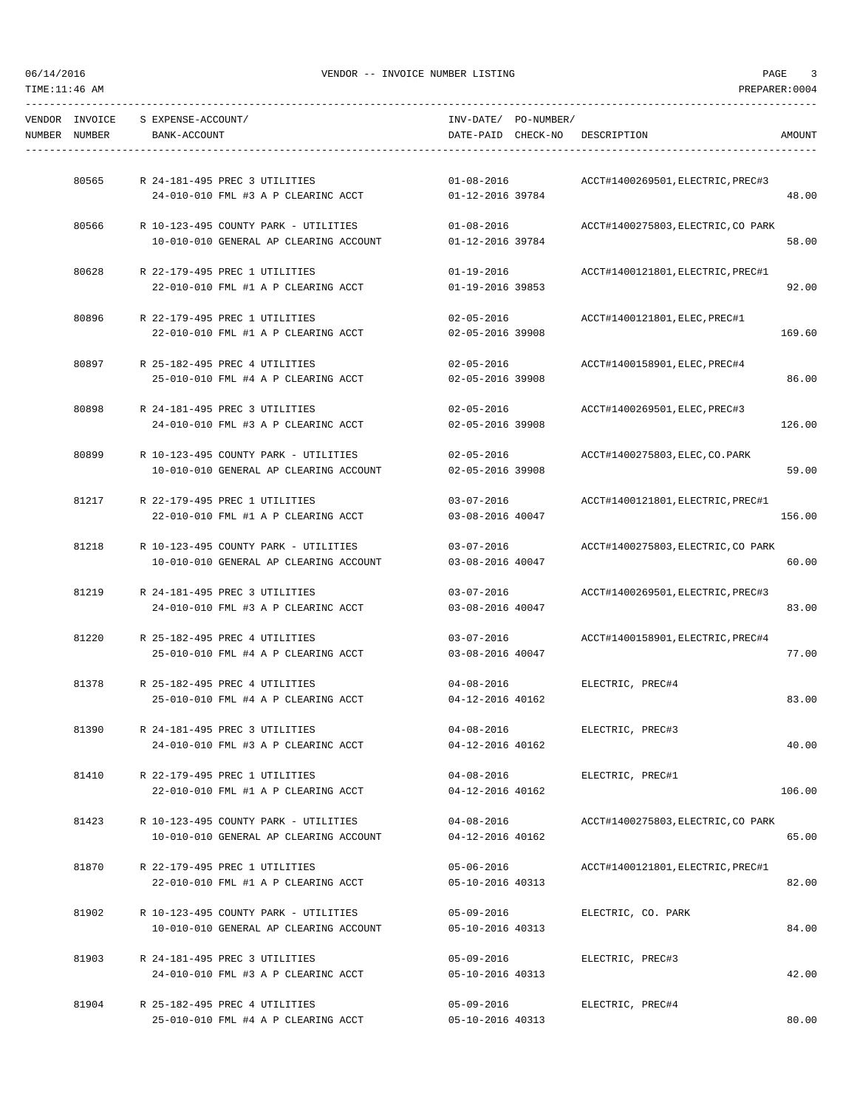TIME:11:46 AM PREPARER:0004

| VENDOR INVOICE<br>NUMBER NUMBER | S EXPENSE-ACCOUNT/<br>BANK-ACCOUNT |                                        |                  | INV-DATE/ PO-NUMBER/ | DATE-PAID CHECK-NO DESCRIPTION     | AMOUNT |
|---------------------------------|------------------------------------|----------------------------------------|------------------|----------------------|------------------------------------|--------|
|                                 |                                    |                                        |                  |                      |                                    |        |
| 80565                           |                                    | R 24-181-495 PREC 3 UTILITIES          | $01 - 08 - 2016$ |                      | ACCT#1400269501, ELECTRIC, PREC#3  |        |
|                                 |                                    | 24-010-010 FML #3 A P CLEARINC ACCT    | 01-12-2016 39784 |                      |                                    | 48.00  |
| 80566                           |                                    | R 10-123-495 COUNTY PARK - UTILITIES   | $01 - 08 - 2016$ |                      | ACCT#1400275803, ELECTRIC, CO PARK |        |
|                                 |                                    | 10-010-010 GENERAL AP CLEARING ACCOUNT | 01-12-2016 39784 |                      |                                    | 58.00  |
| 80628                           |                                    | R 22-179-495 PREC 1 UTILITIES          | 01-19-2016       |                      | ACCT#1400121801, ELECTRIC, PREC#1  |        |
|                                 |                                    | 22-010-010 FML #1 A P CLEARING ACCT    | 01-19-2016 39853 |                      |                                    | 92.00  |
| 80896                           |                                    | R 22-179-495 PREC 1 UTILITIES          | 02-05-2016       |                      | ACCT#1400121801, ELEC, PREC#1      |        |
|                                 |                                    | 22-010-010 FML #1 A P CLEARING ACCT    | 02-05-2016 39908 |                      |                                    | 169.60 |
| 80897                           |                                    | R 25-182-495 PREC 4 UTILITIES          | 02-05-2016       |                      | ACCT#1400158901, ELEC, PREC#4      |        |
|                                 |                                    | 25-010-010 FML #4 A P CLEARING ACCT    | 02-05-2016 39908 |                      |                                    | 86.00  |
| 80898                           |                                    | R 24-181-495 PREC 3 UTILITIES          | $02 - 05 - 2016$ |                      | ACCT#1400269501, ELEC, PREC#3      |        |
|                                 |                                    | 24-010-010 FML #3 A P CLEARINC ACCT    | 02-05-2016 39908 |                      |                                    | 126.00 |
| 80899                           |                                    | R 10-123-495 COUNTY PARK - UTILITIES   | 02-05-2016       |                      | ACCT#1400275803, ELEC, CO. PARK    |        |
|                                 |                                    | 10-010-010 GENERAL AP CLEARING ACCOUNT | 02-05-2016 39908 |                      |                                    | 59.00  |
| 81217                           |                                    | R 22-179-495 PREC 1 UTILITIES          | $03 - 07 - 2016$ |                      | ACCT#1400121801, ELECTRIC, PREC#1  |        |
|                                 |                                    | 22-010-010 FML #1 A P CLEARING ACCT    | 03-08-2016 40047 |                      |                                    | 156.00 |
| 81218                           |                                    | R 10-123-495 COUNTY PARK - UTILITIES   | 03-07-2016       |                      | ACCT#1400275803, ELECTRIC, CO PARK |        |
|                                 |                                    | 10-010-010 GENERAL AP CLEARING ACCOUNT | 03-08-2016 40047 |                      |                                    | 60.00  |
| 81219                           |                                    | R 24-181-495 PREC 3 UTILITIES          | $03 - 07 - 2016$ |                      | ACCT#1400269501, ELECTRIC, PREC#3  |        |
|                                 |                                    | 24-010-010 FML #3 A P CLEARINC ACCT    | 03-08-2016 40047 |                      |                                    | 83.00  |
| 81220                           |                                    | R 25-182-495 PREC 4 UTILITIES          | 03-07-2016       |                      | ACCT#1400158901, ELECTRIC, PREC#4  |        |
|                                 |                                    | 25-010-010 FML #4 A P CLEARING ACCT    | 03-08-2016 40047 |                      |                                    | 77.00  |
| 81378                           |                                    | R 25-182-495 PREC 4 UTILITIES          | $04 - 08 - 2016$ |                      | ELECTRIC, PREC#4                   |        |
|                                 |                                    | 25-010-010 FML #4 A P CLEARING ACCT    | 04-12-2016 40162 |                      |                                    | 83.00  |
| 81390                           |                                    | R 24-181-495 PREC 3 UTILITIES          | $04 - 08 - 2016$ |                      | ELECTRIC, PREC#3                   |        |
|                                 |                                    | 24-010-010 FML #3 A P CLEARINC ACCT    | 04-12-2016 40162 |                      |                                    | 40.00  |
| 81410                           |                                    | R 22-179-495 PREC 1 UTILITIES          | 04-08-2016       |                      | ELECTRIC, PREC#1                   |        |
|                                 |                                    | 22-010-010 FML #1 A P CLEARING ACCT    | 04-12-2016 40162 |                      |                                    | 106.00 |
| 81423                           |                                    | R 10-123-495 COUNTY PARK - UTILITIES   | $04 - 08 - 2016$ |                      | ACCT#1400275803, ELECTRIC, CO PARK |        |
|                                 |                                    | 10-010-010 GENERAL AP CLEARING ACCOUNT | 04-12-2016 40162 |                      |                                    | 65.00  |
| 81870                           |                                    | R 22-179-495 PREC 1 UTILITIES          | 05-06-2016       |                      | ACCT#1400121801, ELECTRIC, PREC#1  |        |
|                                 |                                    | 22-010-010 FML #1 A P CLEARING ACCT    | 05-10-2016 40313 |                      |                                    | 82.00  |
| 81902                           |                                    | R 10-123-495 COUNTY PARK - UTILITIES   | $05 - 09 - 2016$ |                      | ELECTRIC, CO. PARK                 |        |
|                                 |                                    | 10-010-010 GENERAL AP CLEARING ACCOUNT | 05-10-2016 40313 |                      |                                    | 84.00  |
| 81903                           |                                    | R 24-181-495 PREC 3 UTILITIES          | 05-09-2016       |                      | ELECTRIC, PREC#3                   |        |
|                                 |                                    | 24-010-010 FML #3 A P CLEARINC ACCT    | 05-10-2016 40313 |                      |                                    | 42.00  |
| 81904                           |                                    | R 25-182-495 PREC 4 UTILITIES          | $05 - 09 - 2016$ |                      | ELECTRIC, PREC#4                   |        |

25-010-010 FML #4 A P CLEARING ACCT 05-10-2016 40313 80.00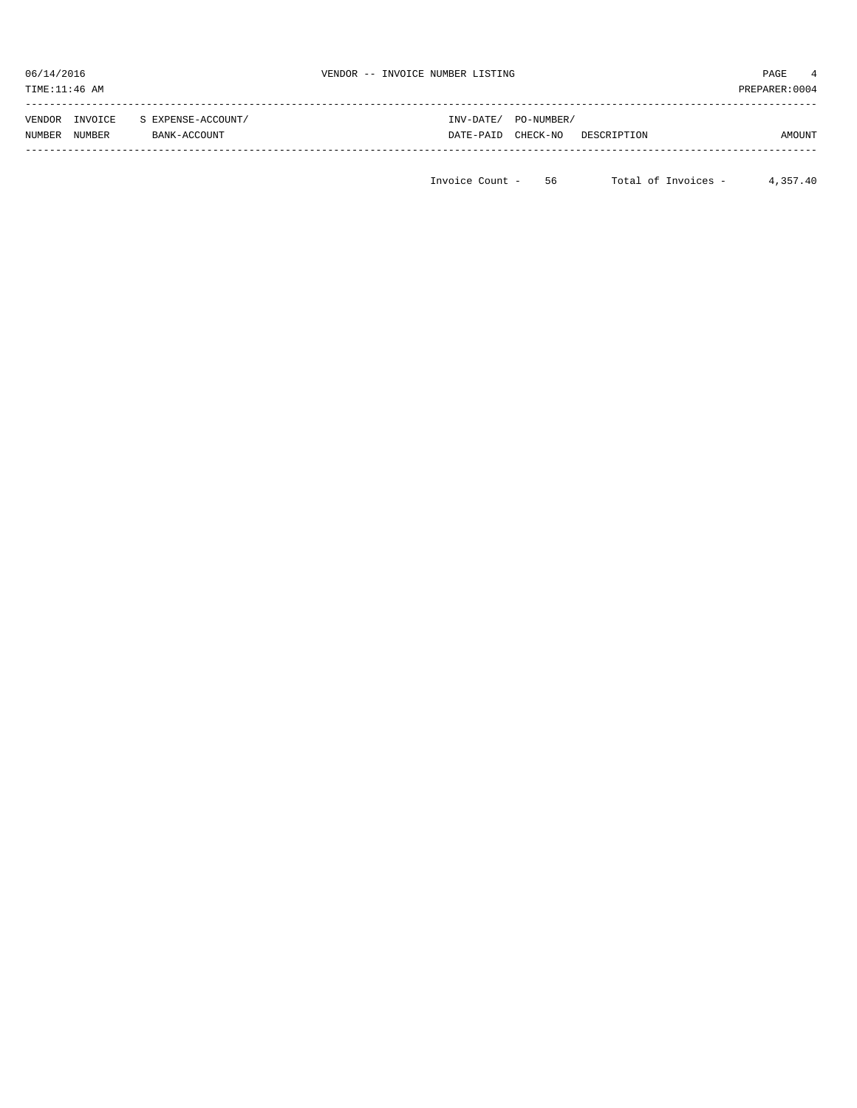| 06/14/2016<br>TIME:11:46 AM           |                                    | VENDOR -- INVOICE NUMBER LISTING |                        |             | PAGE<br>PREPARER: 0004 | 4 |
|---------------------------------------|------------------------------------|----------------------------------|------------------------|-------------|------------------------|---|
| INVOICE<br>VENDOR<br>NUMBER<br>NUMBER | S EXPENSE-ACCOUNT/<br>BANK-ACCOUNT | INV-DATE/<br>DATE-PAID           | PO-NUMBER/<br>CHECK-NO | DESCRIPTION | AMOUNT                 |   |

Invoice Count - 56 Total of Invoices - 4,357.40